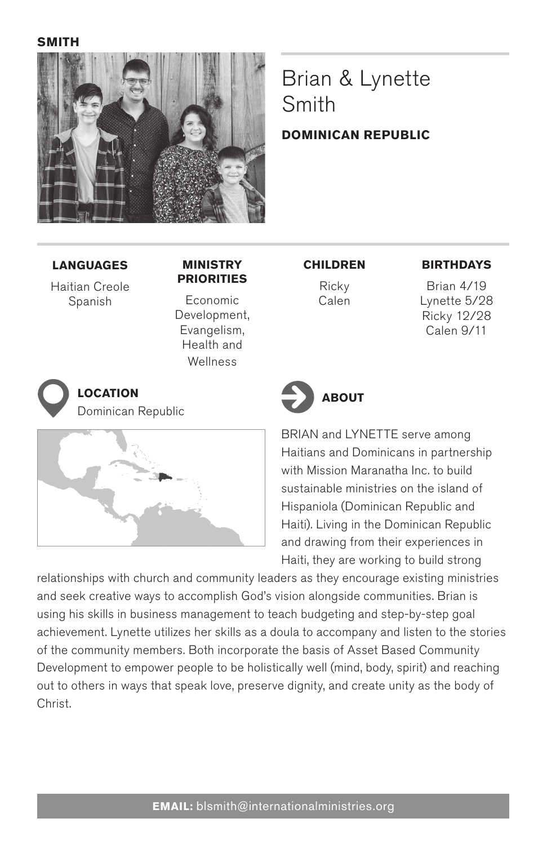**smith**



# Brian & Lynette Smith

#### **dominican republic**

**Languages**

Haitian Creole Spanish

#### **Ministry Priorities**

Economic Development, Evangelism, Health and Wellness

Dominican Republic



#### **Children**

Ricky Calen

#### **Birthdays**

Brian 4/19 Lynette 5/28 Ricky 12/28 Calen 9/11



BRIAN and LYNETTE serve among Haitians and Dominicans in partnership with Mission Maranatha Inc. to build sustainable ministries on the island of Hispaniola (Dominican Republic and Haiti). Living in the Dominican Republic and drawing from their experiences in Haiti, they are working to build strong

relationships with church and community leaders as they encourage existing ministries and seek creative ways to accomplish God's vision alongside communities. Brian is using his skills in business management to teach budgeting and step-by-step goal achievement. Lynette utilizes her skills as a doula to accompany and listen to the stories of the community members. Both incorporate the basis of Asset Based Community Development to empower people to be holistically well (mind, body, spirit) and reaching out to others in ways that speak love, preserve dignity, and create unity as the body of Christ.